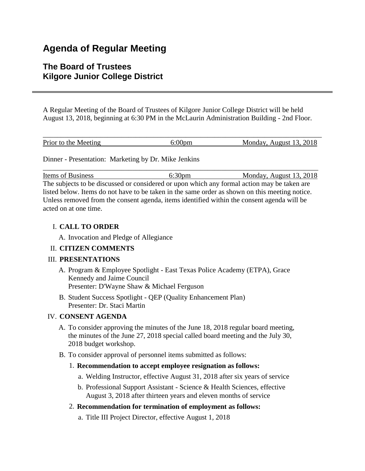# **Agenda of Regular Meeting**

## **The Board of Trustees Kilgore Junior College District**

A Regular Meeting of the Board of Trustees of Kilgore Junior College District will be held August 13, 2018, beginning at 6:30 PM in the McLaurin Administration Building - 2nd Floor.

| Prior to the Meeting |  | Monday, August 13, 2018 |
|----------------------|--|-------------------------|

\_\_\_\_\_\_\_\_\_\_\_\_\_\_\_\_\_\_\_\_\_\_\_\_\_\_\_\_\_\_\_\_\_\_\_\_\_\_\_\_\_\_\_\_\_\_\_\_\_\_\_\_\_\_\_\_\_\_\_\_\_\_\_\_\_\_\_\_\_\_\_\_\_\_\_\_\_

Dinner - Presentation: Marketing by Dr. Mike Jenkins

Items of Business 6:30pm Monday, August 13, 2018 The subjects to be discussed or considered or upon which any formal action may be taken are listed below. Items do not have to be taken in the same order as shown on this meeting notice. Unless removed from the consent agenda, items identified within the consent agenda will be acted on at one time.

## I. **CALL TO ORDER**

A. Invocation and Pledge of Allegiance

## II. **CITIZEN COMMENTS**

## III. **PRESENTATIONS**

- A. Program & Employee Spotlight East Texas Police Academy (ETPA), Grace Kennedy and Jaime Council Presenter: D'Wayne Shaw & Michael Ferguson
- B. Student Success Spotlight QEP (Quality Enhancement Plan) Presenter: Dr. Staci Martin

## IV. **CONSENT AGENDA**

- A. To consider approving the minutes of the June 18, 2018 regular board meeting, the minutes of the June 27, 2018 special called board meeting and the July 30, 2018 budget workshop.
- B. To consider approval of personnel items submitted as follows:
	- 1. **Recommendation to accept employee resignation as follows:**
		- a. Welding Instructor, effective August 31, 2018 after six years of service
		- b. Professional Support Assistant Science & Health Sciences, effective August 3, 2018 after thirteen years and eleven months of service
	- 2. **Recommendation for termination of employment as follows:**
		- a. Title III Project Director, effective August 1, 2018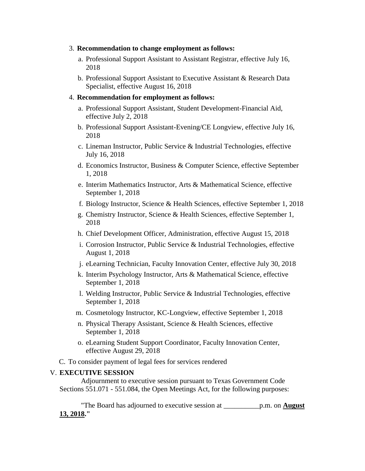- 3. **Recommendation to change employment as follows:**
	- a. Professional Support Assistant to Assistant Registrar, effective July 16, 2018
	- b. Professional Support Assistant to Executive Assistant & Research Data Specialist, effective August 16, 2018

#### 4. **Recommendation for employment as follows:**

- a. Professional Support Assistant, Student Development-Financial Aid, effective July 2, 2018
- b. Professional Support Assistant-Evening/CE Longview, effective July 16, 2018
- c. Lineman Instructor, Public Service & Industrial Technologies, effective July 16, 2018
- d. Economics Instructor, Business & Computer Science, effective September 1, 2018
- e. Interim Mathematics Instructor, Arts & Mathematical Science, effective September 1, 2018
- f. Biology Instructor, Science & Health Sciences, effective September 1, 2018
- g. Chemistry Instructor, Science & Health Sciences, effective September 1, 2018
- h. Chief Development Officer, Administration, effective August 15, 2018
- i. Corrosion Instructor, Public Service & Industrial Technologies, effective August 1, 2018
- j. eLearning Technician, Faculty Innovation Center, effective July 30, 2018
- k. Interim Psychology Instructor, Arts & Mathematical Science, effective September 1, 2018
- l. Welding Instructor, Public Service & Industrial Technologies, effective September 1, 2018
- m. Cosmetology Instructor, KC-Longview, effective September 1, 2018
- n. Physical Therapy Assistant, Science & Health Sciences, effective September 1, 2018
- o. eLearning Student Support Coordinator, Faculty Innovation Center, effective August 29, 2018
- C. To consider payment of legal fees for services rendered

#### V. **EXECUTIVE SESSION**

 Adjournment to executive session pursuant to Texas Government Code Sections 551.071 - 551.084, the Open Meetings Act, for the following purposes:

 "The Board has adjourned to executive session at \_\_\_\_\_\_\_\_\_\_p.m. on **August 13, 2018."**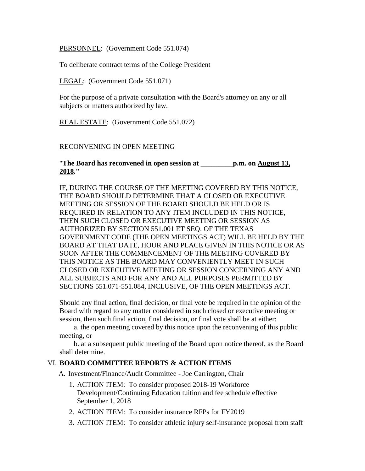PERSONNEL: (Government Code 551.074)

To deliberate contract terms of the College President

LEGAL: (Government Code 551.071)

For the purpose of a private consultation with the Board's attorney on any or all subjects or matters authorized by law.

REAL ESTATE: (Government Code 551.072)

#### RECONVENING IN OPEN MEETING

"**The Board has reconvened in open session at \_\_\_\_\_\_\_\_\_p.m. on August 13, 2018."**

IF, DURING THE COURSE OF THE MEETING COVERED BY THIS NOTICE, THE BOARD SHOULD DETERMINE THAT A CLOSED OR EXECUTIVE MEETING OR SESSION OF THE BOARD SHOULD BE HELD OR IS REQUIRED IN RELATION TO ANY ITEM INCLUDED IN THIS NOTICE, THEN SUCH CLOSED OR EXECUTIVE MEETING OR SESSION AS AUTHORIZED BY SECTION 551.001 ET SEQ. OF THE TEXAS GOVERNMENT CODE (THE OPEN MEETINGS ACT) WILL BE HELD BY THE BOARD AT THAT DATE, HOUR AND PLACE GIVEN IN THIS NOTICE OR AS SOON AFTER THE COMMENCEMENT OF THE MEETING COVERED BY THIS NOTICE AS THE BOARD MAY CONVENIENTLY MEET IN SUCH CLOSED OR EXECUTIVE MEETING OR SESSION CONCERNING ANY AND ALL SUBJECTS AND FOR ANY AND ALL PURPOSES PERMITTED BY SECTIONS 551.071-551.084, INCLUSIVE, OF THE OPEN MEETINGS ACT.

Should any final action, final decision, or final vote be required in the opinion of the Board with regard to any matter considered in such closed or executive meeting or session, then such final action, final decision, or final vote shall be at either:

 a. the open meeting covered by this notice upon the reconvening of this public meeting, or

 b. at a subsequent public meeting of the Board upon notice thereof, as the Board shall determine.

## VI. **BOARD COMMITTEE REPORTS & ACTION ITEMS**

A. Investment/Finance/Audit Committee - Joe Carrington, Chair

- 1. ACTION ITEM: To consider proposed 2018-19 Workforce Development/Continuing Education tuition and fee schedule effective September 1, 2018
- 2. ACTION ITEM: To consider insurance RFPs for FY2019
- 3. ACTION ITEM: To consider athletic injury self-insurance proposal from staff